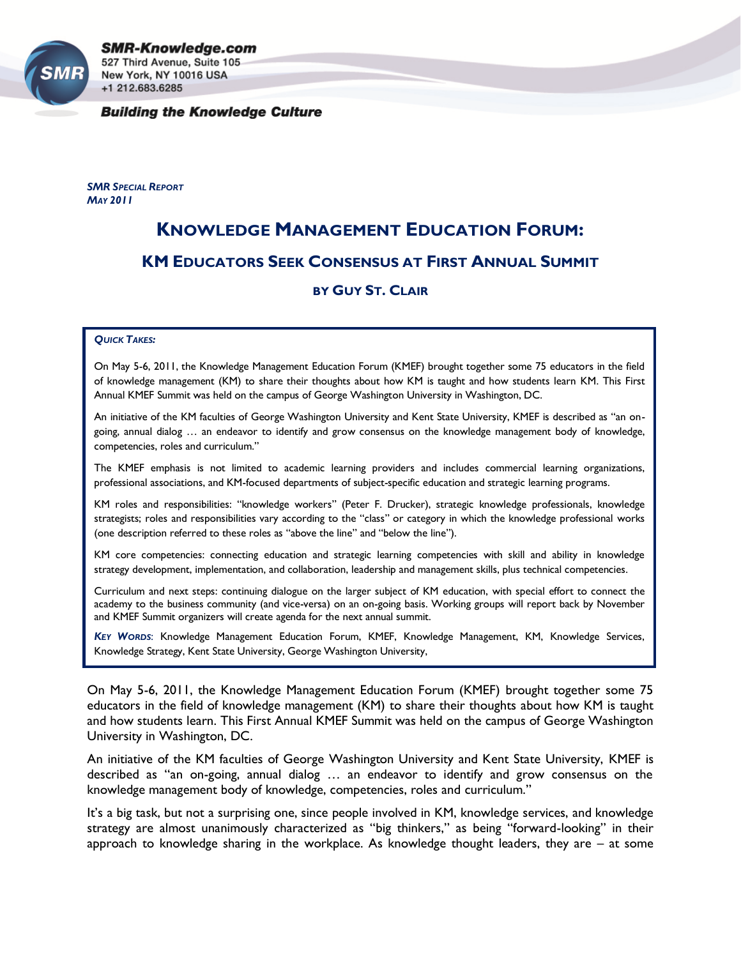

**SMR-Knowledge.com** 527 Third Avenue, Suite 105 New York, NY 10016 USA +1 212.683.6285

**Building the Knowledge Culture** 

*SMR SPECIAL REPORT MAY 2011*

## **KNOWLEDGE MANAGEMENT EDUCATION FORUM: KM EDUCATORS SEEK CONSENSUS AT FIRST ANNUAL SUMMIT**

## **BY GUY ST. CLAIR**

## *QUICK TAKES:*

On May 5-6, 2011, the Knowledge Management Education Forum (KMEF) brought together some 75 educators in the field of knowledge management (KM) to share their thoughts about how KM is taught and how students learn KM. This First Annual KMEF Summit was held on the campus of George Washington University in Washington, DC.

An initiative of the KM faculties of George Washington University and Kent State University, KMEF is described as "an ongoing, annual dialog … an endeavor to identify and grow consensus on the knowledge management body of knowledge, competencies, roles and curriculum."

The KMEF emphasis is not limited to academic learning providers and includes commercial learning organizations, professional associations, and KM-focused departments of subject-specific education and strategic learning programs.

KM roles and responsibilities: "knowledge workers" (Peter F. Drucker), strategic knowledge professionals, knowledge strategists; roles and responsibilities vary according to the "class" or category in which the knowledge professional works (one description referred to these roles as "above the line" and "below the line").

KM core competencies: connecting education and strategic learning competencies with skill and ability in knowledge strategy development, implementation, and collaboration, leadership and management skills, plus technical competencies.

Curriculum and next steps: continuing dialogue on the larger subject of KM education, with special effort to connect the academy to the business community (and vice-versa) on an on-going basis. Working groups will report back by November and KMEF Summit organizers will create agenda for the next annual summit.

*KEY WORDS*: Knowledge Management Education Forum, KMEF, Knowledge Management, KM, Knowledge Services, Knowledge Strategy, Kent State University, George Washington University,

On May 5-6, 2011, the Knowledge Management Education Forum (KMEF) brought together some 75 educators in the field of knowledge management (KM) to share their thoughts about how KM is taught and how students learn. This First Annual KMEF Summit was held on the campus of George Washington University in Washington, DC.

An initiative of the KM faculties of George Washington University and Kent State University, KMEF is described as "an on-going, annual dialog … an endeavor to identify and grow consensus on the knowledge management body of knowledge, competencies, roles and curriculum."

It's a big task, but not a surprising one, since people involved in KM, knowledge services, and knowledge strategy are almost unanimously characterized as "big thinkers," as being "forward-looking" in their approach to knowledge sharing in the workplace. As knowledge thought leaders, they are  $-$  at some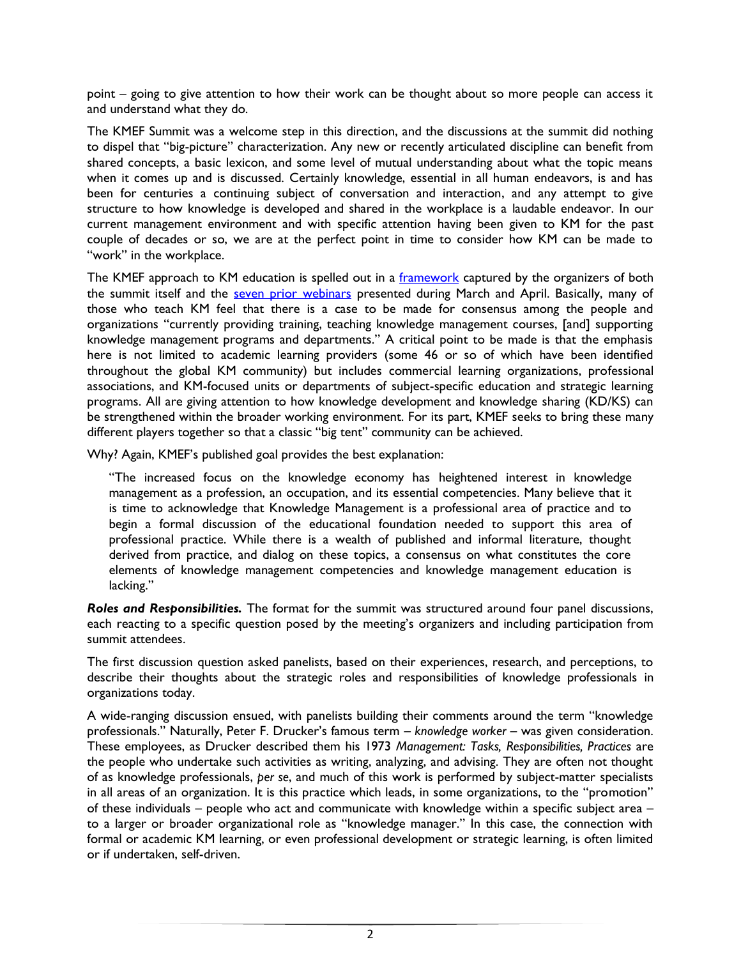point – going to give attention to how their work can be thought about so more people can access it and understand what they do.

The KMEF Summit was a welcome step in this direction, and the discussions at the summit did nothing to dispel that "big-picture" characterization. Any new or recently articulated discipline can benefit from shared concepts, a basic lexicon, and some level of mutual understanding about what the topic means when it comes up and is discussed. Certainly knowledge, essential in all human endeavors, is and has been for centuries a continuing subject of conversation and interaction, and any attempt to give structure to how knowledge is developed and shared in the workplace is a laudable endeavor. In our current management environment and with specific attention having been given to KM for the past couple of decades or so, we are at the perfect point in time to consider how KM can be made to "work" in the workplace.

The KMEF approach to KM education is spelled out in a [framework](http://kmatkent.cim3.net/wiki/Welcome) captured by the organizers of both the summit itself and the [seven prior webinars](http://kmatkent.cim3.net/wiki/KMEF_Webinars) presented during March and April. Basically, many of those who teach KM feel that there is a case to be made for consensus among the people and organizations "currently providing training, teaching knowledge management courses, [and] supporting knowledge management programs and departments." A critical point to be made is that the emphasis here is not limited to academic learning providers (some 46 or so of which have been identified throughout the global KM community) but includes commercial learning organizations, professional associations, and KM-focused units or departments of subject-specific education and strategic learning programs. All are giving attention to how knowledge development and knowledge sharing (KD/KS) can be strengthened within the broader working environment. For its part, KMEF seeks to bring these many different players together so that a classic "big tent" community can be achieved.

Why? Again, KMEF's published goal provides the best explanation:

"The increased focus on the knowledge economy has heightened interest in knowledge management as a profession, an occupation, and its essential competencies. Many believe that it is time to acknowledge that Knowledge Management is a professional area of practice and to begin a formal discussion of the educational foundation needed to support this area of professional practice. While there is a wealth of published and informal literature, thought derived from practice, and dialog on these topics, a consensus on what constitutes the core elements of knowledge management competencies and knowledge management education is lacking."

*Roles and Responsibilities.* The format for the summit was structured around four panel discussions, each reacting to a specific question posed by the meeting's organizers and including participation from summit attendees.

The first discussion question asked panelists, based on their experiences, research, and perceptions, to describe their thoughts about the strategic roles and responsibilities of knowledge professionals in organizations today.

A wide-ranging discussion ensued, with panelists building their comments around the term "knowledge professionals." Naturally, Peter F. Drucker's famous term – *knowledge worker* – was given consideration. These employees, as Drucker described them his 1973 *Management: Tasks, Responsibilities, Practices* are the people who undertake such activities as writing, analyzing, and advising. They are often not thought of as knowledge professionals, *per se*, and much of this work is performed by subject-matter specialists in all areas of an organization. It is this practice which leads, in some organizations, to the "promotion" of these individuals – people who act and communicate with knowledge within a specific subject area – to a larger or broader organizational role as "knowledge manager." In this case, the connection with formal or academic KM learning, or even professional development or strategic learning, is often limited or if undertaken, self-driven.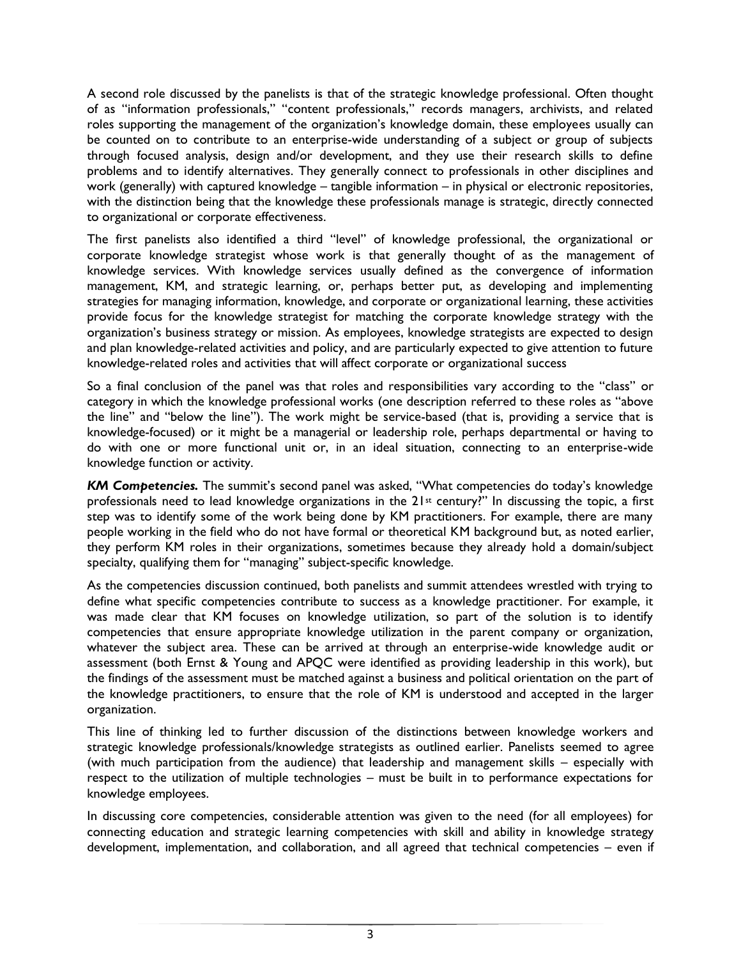A second role discussed by the panelists is that of the strategic knowledge professional. Often thought of as "information professionals," "content professionals," records managers, archivists, and related roles supporting the management of the organization's knowledge domain, these employees usually can be counted on to contribute to an enterprise-wide understanding of a subject or group of subjects through focused analysis, design and/or development, and they use their research skills to define problems and to identify alternatives. They generally connect to professionals in other disciplines and work (generally) with captured knowledge – tangible information – in physical or electronic repositories, with the distinction being that the knowledge these professionals manage is strategic, directly connected to organizational or corporate effectiveness.

The first panelists also identified a third "level" of knowledge professional, the organizational or corporate knowledge strategist whose work is that generally thought of as the management of knowledge services. With knowledge services usually defined as the convergence of information management, KM, and strategic learning, or, perhaps better put, as developing and implementing strategies for managing information, knowledge, and corporate or organizational learning, these activities provide focus for the knowledge strategist for matching the corporate knowledge strategy with the organization's business strategy or mission. As employees, knowledge strategists are expected to design and plan knowledge-related activities and policy, and are particularly expected to give attention to future knowledge-related roles and activities that will affect corporate or organizational success

So a final conclusion of the panel was that roles and responsibilities vary according to the "class" or category in which the knowledge professional works (one description referred to these roles as "above the line" and "below the line"). The work might be service-based (that is, providing a service that is knowledge-focused) or it might be a managerial or leadership role, perhaps departmental or having to do with one or more functional unit or, in an ideal situation, connecting to an enterprise-wide knowledge function or activity.

*KM Competencies.* The summit's second panel was asked, "What competencies do today's knowledge professionals need to lead knowledge organizations in the 21<sup>st</sup> century?" In discussing the topic, a first step was to identify some of the work being done by KM practitioners. For example, there are many people working in the field who do not have formal or theoretical KM background but, as noted earlier, they perform KM roles in their organizations, sometimes because they already hold a domain/subject specialty, qualifying them for "managing" subject-specific knowledge.

As the competencies discussion continued, both panelists and summit attendees wrestled with trying to define what specific competencies contribute to success as a knowledge practitioner. For example, it was made clear that KM focuses on knowledge utilization, so part of the solution is to identify competencies that ensure appropriate knowledge utilization in the parent company or organization, whatever the subject area. These can be arrived at through an enterprise-wide knowledge audit or assessment (both Ernst & Young and APQC were identified as providing leadership in this work), but the findings of the assessment must be matched against a business and political orientation on the part of the knowledge practitioners, to ensure that the role of KM is understood and accepted in the larger organization.

This line of thinking led to further discussion of the distinctions between knowledge workers and strategic knowledge professionals/knowledge strategists as outlined earlier. Panelists seemed to agree (with much participation from the audience) that leadership and management skills – especially with respect to the utilization of multiple technologies – must be built in to performance expectations for knowledge employees.

In discussing core competencies, considerable attention was given to the need (for all employees) for connecting education and strategic learning competencies with skill and ability in knowledge strategy development, implementation, and collaboration, and all agreed that technical competencies – even if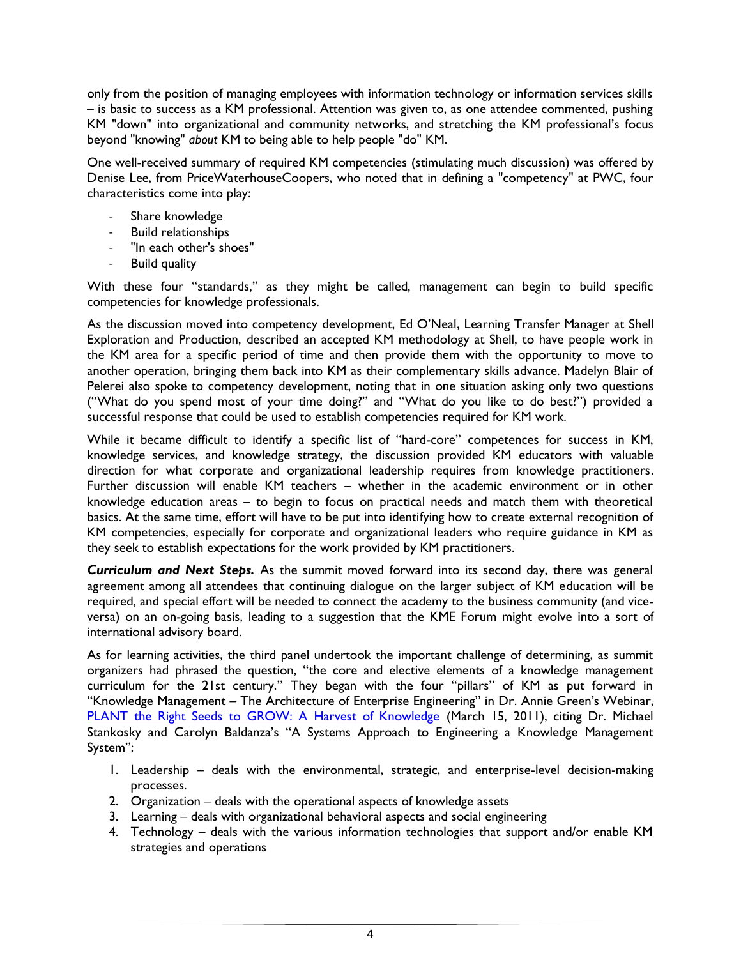only from the position of managing employees with information technology or information services skills – is basic to success as a KM professional. Attention was given to, as one attendee commented, pushing KM "down" into organizational and community networks, and stretching the KM professional's focus beyond "knowing" *about* KM to being able to help people "do" KM.

One well-received summary of required KM competencies (stimulating much discussion) was offered by Denise Lee, from PriceWaterhouseCoopers, who noted that in defining a "competency" at PWC, four characteristics come into play:

- Share knowledge
- Build relationships
- "In each other's shoes"
- Build quality

With these four "standards," as they might be called, management can begin to build specific competencies for knowledge professionals.

As the discussion moved into competency development, Ed O'Neal, Learning Transfer Manager at Shell Exploration and Production, described an accepted KM methodology at Shell, to have people work in the KM area for a specific period of time and then provide them with the opportunity to move to another operation, bringing them back into KM as their complementary skills advance. Madelyn Blair of Pelerei also spoke to competency development, noting that in one situation asking only two questions ("What do you spend most of your time doing?" and "What do you like to do best?") provided a successful response that could be used to establish competencies required for KM work.

While it became difficult to identify a specific list of "hard-core" competences for success in KM, knowledge services, and knowledge strategy, the discussion provided KM educators with valuable direction for what corporate and organizational leadership requires from knowledge practitioners. Further discussion will enable KM teachers – whether in the academic environment or in other knowledge education areas – to begin to focus on practical needs and match them with theoretical basics. At the same time, effort will have to be put into identifying how to create external recognition of KM competencies, especially for corporate and organizational leaders who require guidance in KM as they seek to establish expectations for the work provided by KM practitioners.

*Curriculum and Next Steps.* As the summit moved forward into its second day, there was general agreement among all attendees that continuing dialogue on the larger subject of KM education will be required, and special effort will be needed to connect the academy to the business community (and viceversa) on an on-going basis, leading to a suggestion that the KME Forum might evolve into a sort of international advisory board.

As for learning activities, the third panel undertook the important challenge of determining, as summit organizers had phrased the question, "the core and elective elements of a knowledge management curriculum for the 21st century." They began with the four "pillars" of KM as put forward in "Knowledge Management – The Architecture of Enterprise Engineering" in Dr. Annie Green's Webinar, [PLANT the Right Seeds to GROW: A Harvest of Knowledge](http://kmatkent.cim3.net/file/work/KMEF/KMEF-webinar_2011-03-15/KMEF-Presentation--AnnieGreen_20110315.pdf) (March 15, 2011), citing Dr. Michael Stankosky and Carolyn Baldanza's "A Systems Approach to Engineering a Knowledge Management System":

- 1. Leadership deals with the environmental, strategic, and enterprise-level decision-making processes.
- 2. Organization deals with the operational aspects of knowledge assets
- 3. Learning deals with organizational behavioral aspects and social engineering
- 4. Technology deals with the various information technologies that support and/or enable KM strategies and operations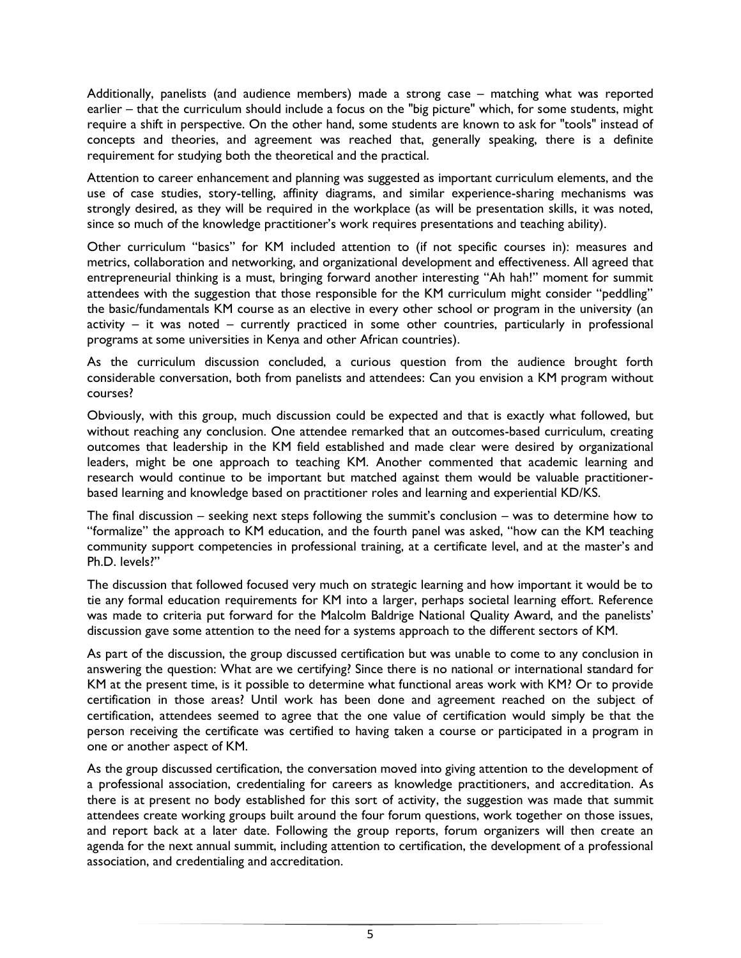Additionally, panelists (and audience members) made a strong case – matching what was reported earlier – that the curriculum should include a focus on the "big picture" which, for some students, might require a shift in perspective. On the other hand, some students are known to ask for "tools" instead of concepts and theories, and agreement was reached that, generally speaking, there is a definite requirement for studying both the theoretical and the practical.

Attention to career enhancement and planning was suggested as important curriculum elements, and the use of case studies, story-telling, affinity diagrams, and similar experience-sharing mechanisms was strongly desired, as they will be required in the workplace (as will be presentation skills, it was noted, since so much of the knowledge practitioner's work requires presentations and teaching ability).

Other curriculum "basics" for KM included attention to (if not specific courses in): measures and metrics, collaboration and networking, and organizational development and effectiveness. All agreed that entrepreneurial thinking is a must, bringing forward another interesting "Ah hah!" moment for summit attendees with the suggestion that those responsible for the KM curriculum might consider "peddling" the basic/fundamentals KM course as an elective in every other school or program in the university (an activity – it was noted – currently practiced in some other countries, particularly in professional programs at some universities in Kenya and other African countries).

As the curriculum discussion concluded, a curious question from the audience brought forth considerable conversation, both from panelists and attendees: Can you envision a KM program without courses?

Obviously, with this group, much discussion could be expected and that is exactly what followed, but without reaching any conclusion. One attendee remarked that an outcomes-based curriculum, creating outcomes that leadership in the KM field established and made clear were desired by organizational leaders, might be one approach to teaching KM. Another commented that academic learning and research would continue to be important but matched against them would be valuable practitionerbased learning and knowledge based on practitioner roles and learning and experiential KD/KS.

The final discussion – seeking next steps following the summit's conclusion – was to determine how to "formalize" the approach to KM education, and the fourth panel was asked, "how can the KM teaching community support competencies in professional training, at a certificate level, and at the master's and Ph.D. levels?"

The discussion that followed focused very much on strategic learning and how important it would be to tie any formal education requirements for KM into a larger, perhaps societal learning effort. Reference was made to criteria put forward for the Malcolm Baldrige National Quality Award, and the panelists' discussion gave some attention to the need for a systems approach to the different sectors of KM.

As part of the discussion, the group discussed certification but was unable to come to any conclusion in answering the question: What are we certifying? Since there is no national or international standard for KM at the present time, is it possible to determine what functional areas work with KM? Or to provide certification in those areas? Until work has been done and agreement reached on the subject of certification, attendees seemed to agree that the one value of certification would simply be that the person receiving the certificate was certified to having taken a course or participated in a program in one or another aspect of KM.

As the group discussed certification, the conversation moved into giving attention to the development of a professional association, credentialing for careers as knowledge practitioners, and accreditation. As there is at present no body established for this sort of activity, the suggestion was made that summit attendees create working groups built around the four forum questions, work together on those issues, and report back at a later date. Following the group reports, forum organizers will then create an agenda for the next annual summit, including attention to certification, the development of a professional association, and credentialing and accreditation.